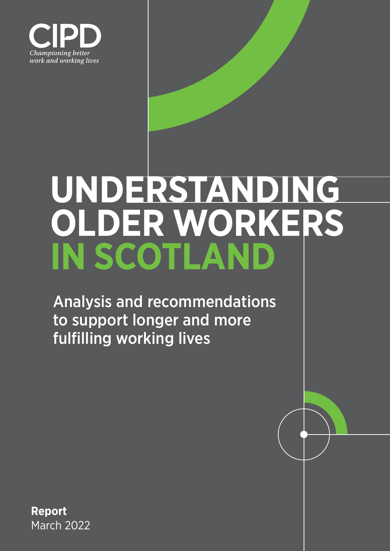

# **UNDERSTANDING OLDER WORKERS IN SCOTLAND**

Analysis and recommendations to support longer and more fulfilling working lives

**Report** March 2022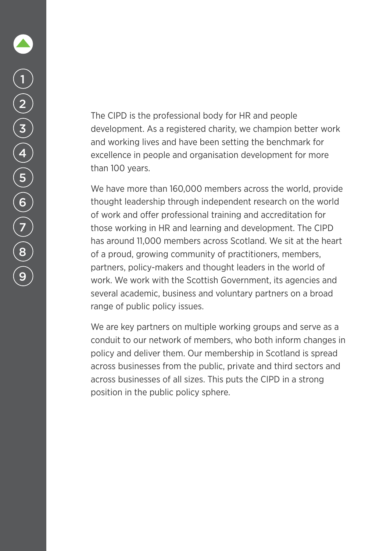The CIPD is the professional body for HR and people development. As a registered charity, we champion better work and working lives and have been setting the benchmark for excellence in people and organisation development for more than 100 years.

We have more than 160,000 members across the world, provide thought leadership through independent research on the world of work and offer professional training and accreditation for those working in HR and learning and development. The CIPD has around 11,000 members across Scotland. We sit at the heart of a proud, growing community of practitioners, members, partners, policy-makers and thought leaders in the world of work. We work with the Scottish Government, its agencies and several academic, business and voluntary partners on a broad range of public policy issues.

We are key partners on multiple working groups and serve as a conduit to our network of members, who both inform changes in policy and deliver them. Our membership in Scotland is spread across businesses from the public, private and third sectors and across businesses of all sizes. This puts the CIPD in a strong position in the public policy sphere.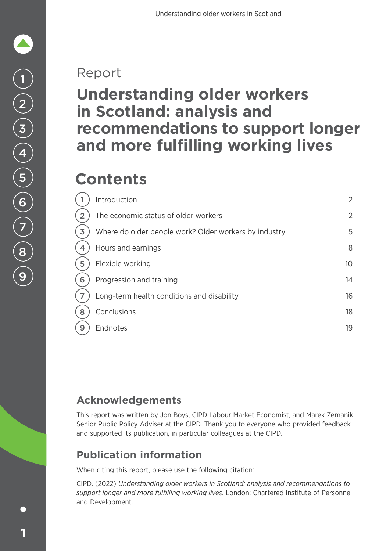### Report

### **Understanding older workers in Scotland: analysis and recommendations to support longer and more fulfilling working lives**

### **Contents**

|                | Introduction                                          | $\overline{2}$ |
|----------------|-------------------------------------------------------|----------------|
| $\overline{2}$ | The economic status of older workers                  | $\overline{2}$ |
| 3              | Where do older people work? Older workers by industry | 5              |
| 4              | Hours and earnings                                    | 8              |
| 5              | Flexible working                                      | 10             |
| 6              | Progression and training                              | 14             |
| $\overline{ }$ | Long-term health conditions and disability            | 16             |
| 8              | Conclusions                                           | 18             |
| 9              | Endnotes                                              | 19             |
|                |                                                       |                |

### **Acknowledgements**

This report was written by Jon Boys, CIPD Labour Market Economist, and Marek Zemanik, Senior Public Policy Adviser at the CIPD. Thank you to everyone who provided feedback and supported its publication, in particular colleagues at the CIPD.

### **Publication information**

When citing this report, please use the following citation:

CIPD. (2022) *Understanding older workers in Scotland: analysis and recommendations to support longer and more fulfilling working lives*. London: Chartered Institute of Personnel and Development.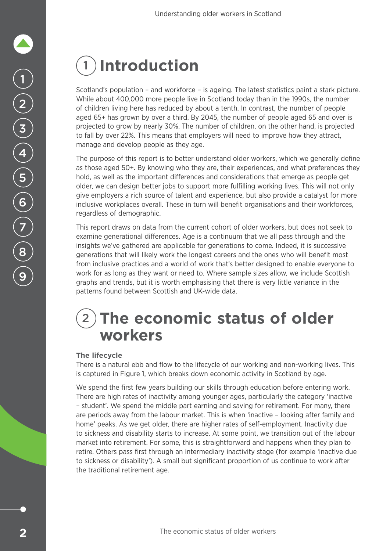### <span id="page-3-0"></span>1 **Introduction**

Scotland's population – and workforce – is ageing. The latest statistics paint a stark picture. While about 400,000 more people live in Scotland today than in the 1990s, the number of children living here has reduced by about a tenth. In contrast, the number of people aged 65+ has grown by over a third. By 2045, the number of people aged 65 and over is projected to grow by nearly 30%. The number of children, on the other hand, is projected to fall by over 22%. This means that employers will need to improve how they attract, manage and develop people as they age.

The purpose of this report is to better understand older workers, which we generally define as those aged 50+. By knowing who they are, their experiences, and what preferences they hold, as well as the important differences and considerations that emerge as people get older, we can design better jobs to support more fulfilling working lives. This will not only give employers a rich source of talent and experience, but also provide a catalyst for more inclusive workplaces overall. These in turn will benefit organisations and their workforces, regardless of demographic.

This report draws on data from the current cohort of older workers, but does not seek to examine generational differences. Age is a continuum that we all pass through and the insights we've gathered are applicable for generations to come. Indeed, it is successive generations that will likely work the longest careers and the ones who will benefit most from inclusive practices and a world of work that's better designed to enable everyone to work for as long as they want or need to. Where sample sizes allow, we include Scottish graphs and trends, but it is worth emphasising that there is very little variance in the patterns found between Scottish and UK-wide data.

### 2 **The economic status of older workers**

### **The lifecycle**

There is a natural ebb and flow to the lifecycle of our working and non-working lives. This is captured in Figure 1, which breaks down economic activity in Scotland by age.

We spend the first few years building our skills through education before entering work. There are high rates of inactivity among younger ages, particularly the category 'inactive – student'. We spend the middle part earning and saving for retirement. For many, there are periods away from the labour market. This is when 'inactive – looking after family and home' peaks. As we get older, there are higher rates of self-employment. Inactivity due to sickness and disability starts to increase. At some point, we transition out of the labour market into retirement. For some, this is straightforward and happens when they plan to retire. Others pass first through an intermediary inactivity stage (for example 'inactive due to sickness or disability'). A small but significant proportion of us continue to work after the traditional retirement age.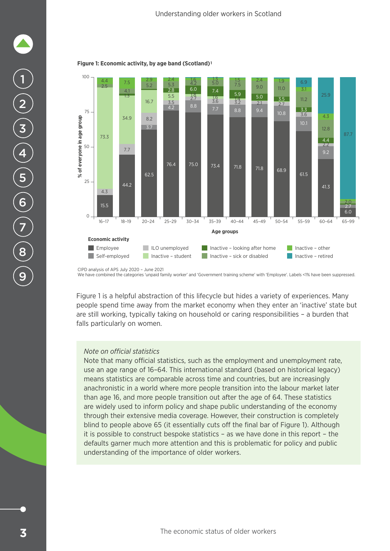

#### **Figure 1: Economic activity, by age band (Scotland)1**

100



CIPD analysis of APS July 2020 – June 2021

We have combined the categories 'unpaid family worker' and 'Government training scheme' with 'Employee'. Labels <1% have been suppressed.

Figure 1 is a helpful abstraction of this lifecycle but hides a variety of experiences. Many people spend time away from the market economy when they enter an 'inactive' state but are still working, typically taking on household or caring responsibilities – a burden that falls particularly on women.

#### *Note on official statistics*

Note that many official statistics, such as the employment and unemployment rate, use an age range of 16–64. This international standard (based on historical legacy) means statistics are comparable across time and countries, but are increasingly anachronistic in a world where more people transition into the labour market later than age 16, and more people transition out after the age of 64. These statistics are widely used to inform policy and shape public understanding of the economy through their extensive media coverage. However, their construction is completely blind to people above 65 (it essentially cuts off the final bar of Figure 1). Although it is possible to construct bespoke statistics – as we have done in this report – the defaults garner much more attention and this is problematic for policy and public understanding of the importance of older workers.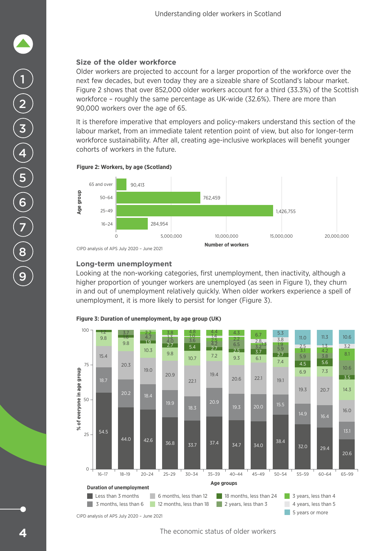### **Size of the older workforce**

Older workers are projected to account for a larger proportion of the workforce over the next few decades, but even today they are a sizeable share of Scotland's labour market. Figure 2 shows that over 852,000 older workers account for a third (33.3%) of the Scottish workforce – roughly the same percentage as UK-wide (32.6%). There are more than 90,000 workers over the age of 65.

It is therefore imperative that employers and policy-makers understand this section of the labour market, from an immediate talent retention point of view, but also for longer-term workforce sustainability. After all, creating age-inclusive workplaces will benefit younger cohorts of workers in the future.





### **Long-term unemployment**

Looking at the non-working categories, first unemployment, then inactivity, although a higher proportion of younger workers are unemployed (as seen in Figure 1), they churn in and out of unemployment relatively quickly. When older workers experience a spell of unemployment, it is more likely to persist for longer (Figure 3).



#### **Figure 3: Duration of unemployment, by age group (UK)**

The economic status of older workers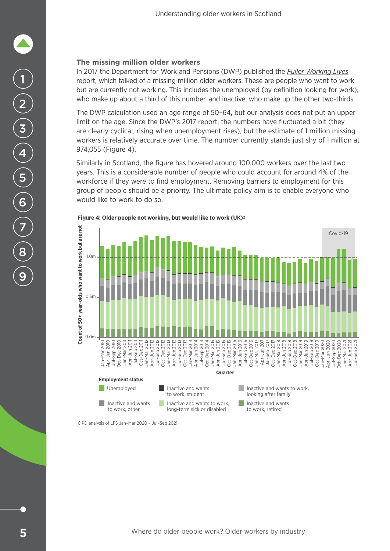### <span id="page-6-0"></span>**The missing million older workers**

In 2017 the Department for Work and Pensions (DWP) published the *[Fuller Working Lives](https://www.gov.uk/government/publications/fuller-working-lives-a-partnership-approach)* report, which talked of a missing million older workers. These are people who want to work but are currently not working. This includes the unemployed (by definition looking for work), who make up about a third of this number, and inactive, who make up the other two-thirds.

The DWP calculation used an age range of 50–64, but our analysis does not put an upper limit on the age. Since the DWP's 2017 report, the numbers have fluctuated a bit (they are clearly cyclical, rising when unemployment rises), but the estimate of 1 million missing workers is relatively accurate over time. The number currently stands just shy of 1 million at 974,055 (Figure 4).

Similarly in Scotland, the figure has hovered around 100,000 workers over the last two years. This is a considerable number of people who could account for around 4% of the workforce if they were to find employment. Removing barriers to employment for this group of people should be a priority. The ultimate policy aim is to enable everyone who would like to work to do so.



**Figure 4: Older people not working, but would like to work (UK)2**

CIPD analysis of LFS Jan–Mar 2020 – Jul–Sep 2021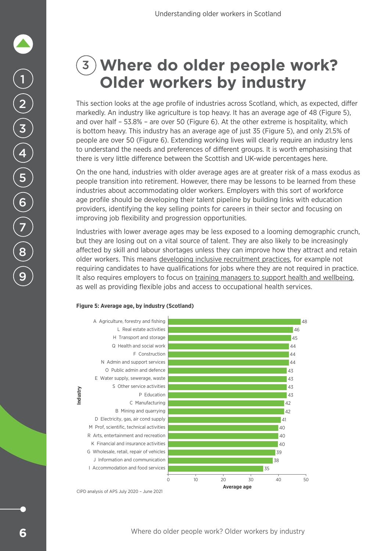# 1 2 3 4 5 6 7 8 9

### 3 **Where do older people work? Older workers by industry**

This section looks at the age profile of industries across Scotland, which, as expected, differ markedly. An industry like agriculture is top heavy. It has an average age of 48 (Figure 5), and over half – 53.8% – are over 50 (Figure 6). At the other extreme is hospitality, which is bottom heavy. This industry has an average age of just 35 (Figure 5), and only 21.5% of people are over 50 (Figure 6). Extending working lives will clearly require an industry lens to understand the needs and preferences of different groups. It is worth emphasising that there is very little difference between the Scottish and UK-wide percentages here.

On the one hand, industries with older average ages are at greater risk of a mass exodus as people transition into retirement. However, there may be lessons to be learned from these industries about accommodating older workers. Employers with this sort of workforce age profile should be developing their talent pipeline by building links with education providers, identifying the key selling points for careers in their sector and focusing on improving job flexibility and progression opportunities.

Industries with lower average ages may be less exposed to a looming demographic crunch, but they are losing out on a vital source of talent. They are also likely to be increasingly affected by skill and labour shortages unless they can improve how they attract and retain older workers. This means [developing inclusive recruitment practices,](https://www.cipd.co.uk/knowledge/fundamentals/people/recruitment/age-inclusive-recruitment) for example not requiring candidates to have qualifications for jobs where they are not required in practice. It also requires employers to focus on [training managers to support health and wellbeing,](https://www.cipd.co.uk/knowledge/fundamentals/people/line-manager/business-case-for-people-professionals) as well as providing flexible jobs and access to occupational health services.

#### **Figure 5: Average age, by industry (Scotland)**

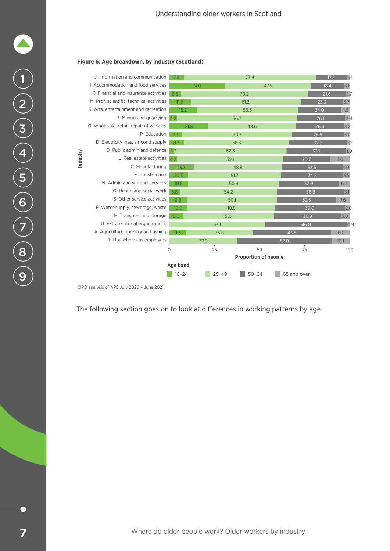#### **Figure 6: Age breakdown, by industry (Scotland)**



The following section goes on to look at differences in working patterns by age.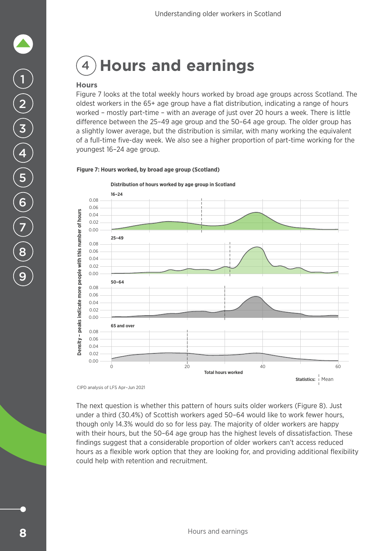### <span id="page-9-0"></span>4 **Hours and earnings**

### **Hours**

Figure 7 looks at the total weekly hours worked by broad age groups across Scotland. The oldest workers in the 65+ age group have a flat distribution, indicating a range of hours worked – mostly part-time – with an average of just over 20 hours a week. There is little difference between the 25–49 age group and the 50–64 age group. The older group has a slightly lower average, but the distribution is similar, with many working the equivalent of a full-time five-day week. We also see a higher proportion of part-time working for the youngest 16–24 age group.

#### **Figure 7: Hours worked, by broad age group (Scotland)**

**Distribution of hours worked by age group in Scotland**

![](_page_9_Figure_6.jpeg)

The next question is whether this pattern of hours suits older workers (Figure 8). Just under a third (30.4%) of Scottish workers aged 50–64 would like to work fewer hours, though only 14.3% would do so for less pay. The majority of older workers are happy with their hours, but the 50–64 age group has the highest levels of dissatisfaction. These findings suggest that a considerable proportion of older workers can't access reduced hours as a flexible work option that they are looking for, and providing additional flexibility could help with retention and recruitment.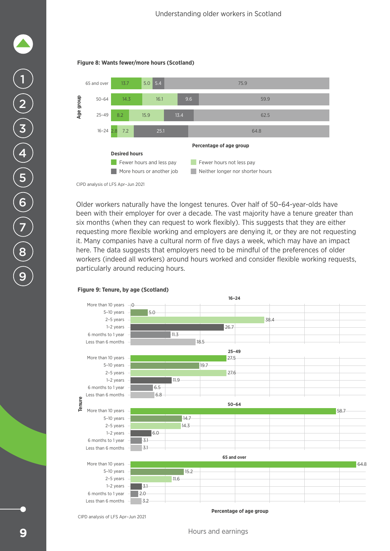![](_page_10_Figure_1.jpeg)

![](_page_10_Figure_2.jpeg)

Older workers naturally have the longest tenures. Over half of 50–64-year-olds have been with their employer for over a decade. The vast majority have a tenure greater than six months (when they can request to work flexibly). This suggests that they are either requesting more flexible working and employers are denying it, or they are not requesting it. Many companies have a cultural norm of five days a week, which may have an impact here. The data suggests that employers need to be mindful of the preferences of older workers (indeed all workers) around hours worked and consider flexible working requests, particularly around reducing hours.

![](_page_10_Figure_5.jpeg)

#### **Figure 9: Tenure, by age (Scotland)**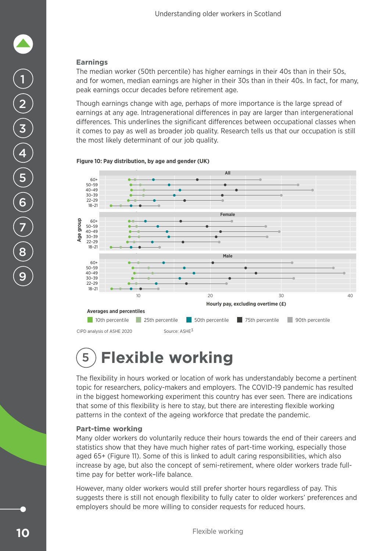### <span id="page-11-0"></span>**Earnings**

The median worker (50th percentile) has higher earnings in their 40s than in their 50s, and for women, median earnings are higher in their 30s than in their 40s. In fact, for many, peak earnings occur decades before retirement age.

Though earnings change with age, perhaps of more importance is the large spread of earnings at any age. Intragenerational differences in pay are larger than intergenerational differences. This underlines the significant differences between occupational classes when it comes to pay as well as broader job quality. Research tells us that our occupation is still the most likely determinant of our job quality.

![](_page_11_Figure_4.jpeg)

![](_page_11_Figure_5.jpeg)

### 5 **Flexible working**

The flexibility in hours worked or location of work has understandably become a pertinent topic for researchers, policy-makers and employers. The COVID-19 pandemic has resulted in the biggest homeworking experiment this country has ever seen. There are indications that some of this flexibility is here to stay, but there are interesting flexible working patterns in the context of the ageing workforce that predate the pandemic.

### **Part-time working**

Many older workers do voluntarily reduce their hours towards the end of their careers and statistics show that they have much higher rates of part-time working, especially those aged 65+ (Figure 11). Some of this is linked to adult caring responsibilities, which also increase by age, but also the concept of semi-retirement, where older workers trade fulltime pay for better work–life balance.

However, many older workers would still prefer shorter hours regardless of pay. This suggests there is still not enough flexibility to fully cater to older workers' preferences and employers should be more willing to consider requests for reduced hours.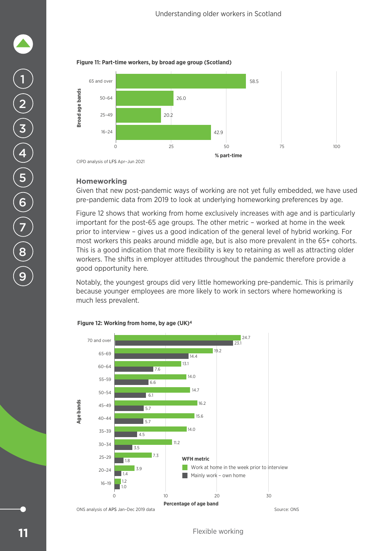![](_page_12_Figure_1.jpeg)

![](_page_12_Figure_2.jpeg)

### **Homeworking**

Given that new post-pandemic ways of working are not yet fully embedded, we have used pre-pandemic data from 2019 to look at underlying homeworking preferences by age.

Figure 12 shows that working from home exclusively increases with age and is particularly important for the post-65 age groups. The other metric – worked at home in the week prior to interview – gives us a good indication of the general level of hybrid working. For most workers this peaks around middle age, but is also more prevalent in the 65+ cohorts. This is a good indication that more flexibility is key to retaining as well as attracting older workers. The shifts in employer attitudes throughout the pandemic therefore provide a good opportunity here.

Notably, the youngest groups did very little homeworking pre-pandemic. This is primarily because younger employees are more likely to work in sectors where homeworking is much less prevalent.

![](_page_12_Figure_7.jpeg)

#### **Figure 12: Working from home, by age (UK)4**

1

2

3

4

5

6

7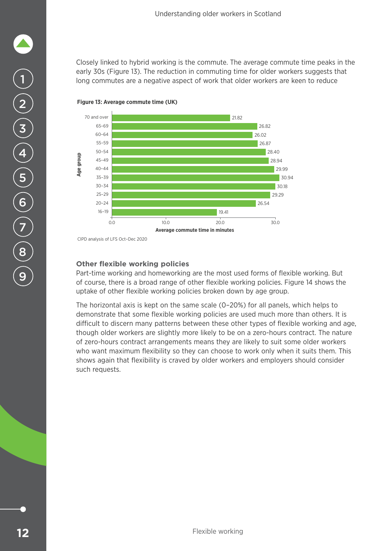Closely linked to hybrid working is the commute. The average commute time peaks in the early 30s (Figure 13). The reduction in commuting time for older workers suggests that long commutes are a negative aspect of work that older workers are keen to reduce

![](_page_13_Figure_2.jpeg)

#### **Figure 13: Average commute time (UK)**

**Other flexible working policies**

Part-time working and homeworking are the most used forms of flexible working. But of course, there is a broad range of other flexible working policies. Figure 14 shows the uptake of other flexible working policies broken down by age group.

The horizontal axis is kept on the same scale (0–20%) for all panels, which helps to demonstrate that some flexible working policies are used much more than others. It is difficult to discern many patterns between these other types of flexible working and age, though older workers are slightly more likely to be on a zero-hours contract. The nature of zero-hours contract arrangements means they are likely to suit some older workers who want maximum flexibility so they can choose to work only when it suits them. This shows again that flexibility is craved by older workers and employers should consider such requests.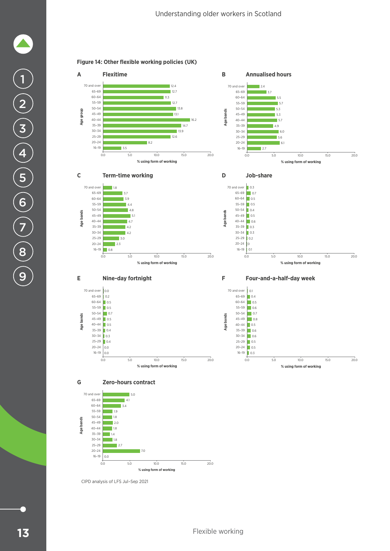![](_page_14_Figure_1.jpeg)

![](_page_14_Figure_2.jpeg)

![](_page_14_Figure_3.jpeg)

![](_page_14_Figure_4.jpeg)

CIPD analysis of LFS Jul–Sep 2021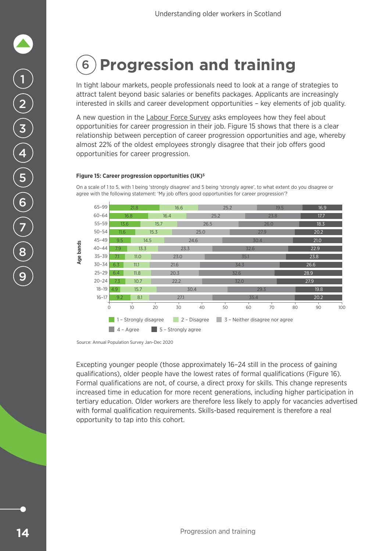### <span id="page-15-0"></span>6 **Progression and training**

In tight labour markets, people professionals need to look at a range of strategies to attract talent beyond basic salaries or benefits packages. Applicants are increasingly interested in skills and career development opportunities – key elements of job quality.

A new question in the [Labour Force Survey](https://www.ons.gov.uk/surveys/informationforhouseholdsandindividuals/householdandindividualsurveys/labourforcesurvey) asks employees how they feel about opportunities for career progression in their job. Figure 15 shows that there is a clear relationship between perception of career progression opportunities and age, whereby almost 22% of the oldest employees strongly disagree that their job offers good opportunities for career progression.

#### **Figure 15: Career progression opportunities (UK)5**

On a scale of 1 to 5, with 1 being 'strongly disagree' and 5 being 'strongly agree', to what extent do you disagree or agree with the following statement: 'My job offers good opportunities for career progression'?

![](_page_15_Figure_6.jpeg)

Excepting younger people (those approximately 16–24 still in the process of gaining qualifications), older people have the lowest rates of formal qualifications (Figure 16). Formal qualifications are not, of course, a direct proxy for skills. This change represents increased time in education for more recent generations, including higher participation in tertiary education. Older workers are therefore less likely to apply for vacancies advertised with formal qualification requirements. Skills-based requirement is therefore a real opportunity to tap into this cohort.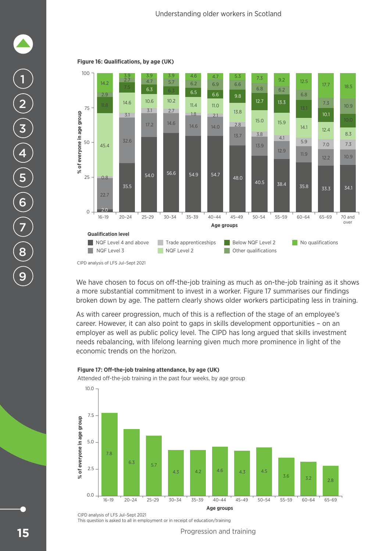4.7

5.3

![](_page_16_Figure_1.jpeg)

![](_page_16_Figure_2.jpeg)

4.6

3.9

3.9

54.0 56.6 54.9 54.7 48.0

#### **Figure 16: Qualifications, by age (UK)**

3.9

We have chosen to focus on off-the-job training as much as on-the-job training as it shows a more substantial commitment to invest in a worker. Figure 17 summarises our findings broken down by age. The pattern clearly shows older workers participating less in training.

**Age groups Age groups Age groups Age groups Age groups Age groups Age groups Age groups Age groups Age groups Age groups Age groups Age groups Age groups Age groups Age groups Age groups**

11.9

14.1

5.9

6.8

12.5

 $35.8$   $35.8$ 

12.2

12.4

7.0

10.1

7.3

17.7

34.1

10.9 7.3 8.3

10.9

18.5

40.5 38.4

As with career progression, much of this is a reflection of the stage of an employee's career. However, it can also point to gaps in skills development opportunities – on an employer as well as public policy level. The CIPD has long argued that skills investment needs rebalancing, with lifelong learning given much more prominence in light of the economic trends on the horizon.

![](_page_16_Figure_7.jpeg)

#### Figure 17: Off-the-job training attendance, by age (UK)

Attended off-the-job training in the past four weeks, by age group

CIPD analysis of LFS Jul–Sept 2021 This question is asked to all in employment or in receipt of education/training

Progression and training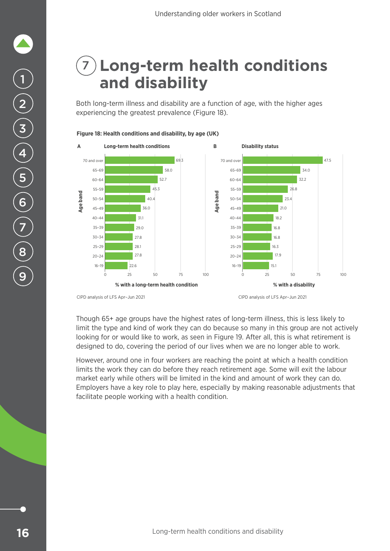### <span id="page-17-0"></span>7 **Long-term health conditions and disability**

Both long-term illness and disability are a function of age, with the higher ages experiencing the greatest prevalence (Figure 18).

![](_page_17_Figure_3.jpeg)

**Figure 18: Health conditions and disability, by age (UK)**

CIPD analysis of LFS Apr–Jun 2021 CIPD analysis of LFS Apr–Jun 2021

Though 65+ age groups have the highest rates of long-term illness, this is less likely to limit the type and kind of work they can do because so many in this group are not actively looking for or would like to work, as seen in Figure 19. After all, this is what retirement is designed to do, covering the period of our lives when we are no longer able to work.

However, around one in four workers are reaching the point at which a health condition limits the work they can do before they reach retirement age. Some will exit the labour market early while others will be limited in the kind and amount of work they can do. Employers have a key role to play here, especially by making reasonable adjustments that facilitate people working with a health condition.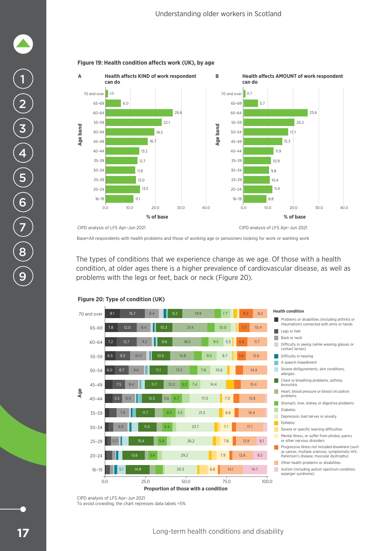![](_page_18_Figure_1.jpeg)

#### Figure 19: Health condition affects work (UK), by age

Base=All respondents with health problems and those of working age or pensioners looking for work or wanting work

The types of conditions that we experience change as we age. Of those with a health condition, at older ages there is a higher prevalence of cardiovascular disease, as well as problems with the legs or feet, back or neck (Figure 20).

![](_page_18_Figure_5.jpeg)

#### **Figure 20: Type of condition (UK)**

CIPD analysis of LFS Apr–Jun 2021 To avoid crowding, the chart represses data labels <5%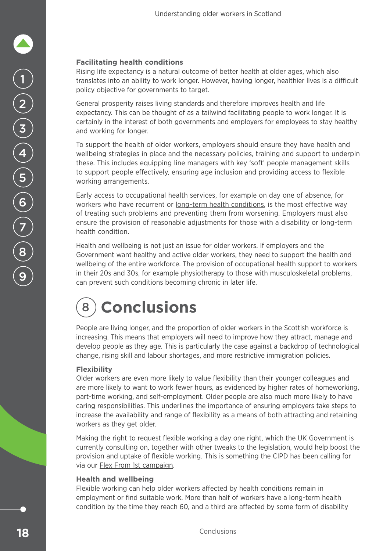### <span id="page-19-0"></span>**Facilitating health conditions**

Rising life expectancy is a natural outcome of better health at older ages, which also translates into an ability to work longer. However, having longer, healthier lives is a difficult policy objective for governments to target.

General prosperity raises living standards and therefore improves health and life expectancy. This can be thought of as a tailwind facilitating people to work longer. It is certainly in the interest of both governments and employers for employees to stay healthy and working for longer.

To support the health of older workers, employers should ensure they have health and wellbeing strategies in place and the necessary policies, training and support to underpin these. This includes equipping line managers with key 'soft' people management skills to support people effectively, ensuring age inclusion and providing access to flexible working arrangements.

Early access to occupational health services, for example on day one of absence, for workers who have recurrent or [long-term health conditions](https://www.cipd.co.uk/knowledge/fundamentals/relations/absence/support-long-term-health-conditions), is the most effective way of treating such problems and preventing them from worsening. Employers must also ensure the provision of reasonable adjustments for those with a disability or long-term health condition.

Health and wellbeing is not just an issue for older workers. If employers and the Government want healthy and active older workers, they need to support the health and wellbeing of the entire workforce. The provision of occupational health support to workers in their 20s and 30s, for example physiotherapy to those with musculoskeletal problems, can prevent such conditions becoming chronic in later life.

### 8 **Conclusions**

People are living longer, and the proportion of older workers in the Scottish workforce is increasing. This means that employers will need to improve how they attract, manage and develop people as they age. This is particularly the case against a backdrop of technological change, rising skill and labour shortages, and more restrictive immigration policies.

### **Flexibility**

Older workers are even more likely to value flexibility than their younger colleagues and are more likely to want to work fewer hours, as evidenced by higher rates of homeworking, part-time working, and self-employment. Older people are also much more likely to have caring responsibilities. This underlines the importance of ensuring employers take steps to increase the availability and range of flexibility as a means of both attracting and retaining workers as they get older.

Making the right to request flexible working a day one right, which the UK Government is currently consulting on, together with other tweaks to the legislation, would help boost the provision and uptake of flexible working. This is something the CIPD has been calling for via our [Flex From 1st campaign](https://www.cipd.co.uk/news-views/campaigns/flex-from-first).

### **Health and wellbeing**

Flexible working can help older workers affected by health conditions remain in employment or find suitable work. More than half of workers have a long-term health condition by the time they reach 60, and a third are affected by some form of disability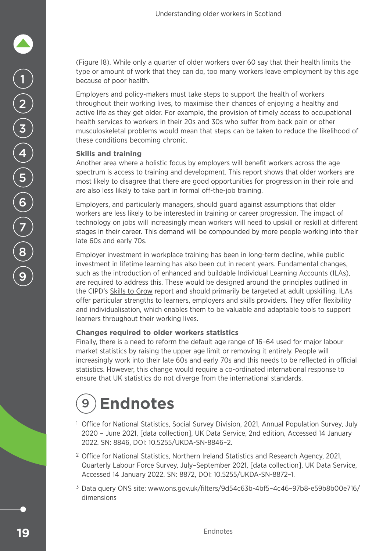<span id="page-20-0"></span>(Figure 18). While only a quarter of older workers over 60 say that their health limits the type or amount of work that they can do, too many workers leave employment by this age because of poor health.

Employers and policy-makers must take steps to support the health of workers throughout their working lives, to maximise their chances of enjoying a healthy and active life as they get older. For example, the provision of timely access to occupational health services to workers in their 20s and 30s who suffer from back pain or other musculoskeletal problems would mean that steps can be taken to reduce the likelihood of these conditions becoming chronic.

### **Skills and training**

Another area where a holistic focus by employers will benefit workers across the age spectrum is access to training and development. This report shows that older workers are most likely to disagree that there are good opportunities for progression in their role and are also less likely to take part in formal off-the-job training.

Employers, and particularly managers, should guard against assumptions that older workers are less likely to be interested in training or career progression. The impact of technology on jobs will increasingly mean workers will need to upskill or reskill at different stages in their career. This demand will be compounded by more people working into their late 60s and early 70s.

Employer investment in workplace training has been in long-term decline, while public investment in lifetime learning has also been cut in recent years. Fundamental changes, such as the introduction of enhanced and buildable Individual Learning Accounts (ILAs), are required to address this. These would be designed around the principles outlined in the CIPD's [Skills to Grow](https://www.cipd.co.uk/knowledge/work/skills/learning-accounts-scotland) report and should primarily be targeted at adult upskilling. ILAs offer particular strengths to learners, employers and skills providers. They offer flexibility and individualisation, which enables them to be valuable and adaptable tools to support learners throughout their working lives.

### **Changes required to older workers statistics**

Finally, there is a need to reform the default age range of 16–64 used for major labour market statistics by raising the upper age limit or removing it entirely. People will increasingly work into their late 60s and early 70s and this needs to be reflected in official statistics. However, this change would require a co-ordinated international response to ensure that UK statistics do not diverge from the international standards.

### 9 **Endnotes**

- <sup>1</sup> Office for National Statistics, Social Survey Division, 2021, Annual Population Survey, July 2020 – June 2021, [data collection], UK Data Service, 2nd edition, Accessed 14 January 2022. SN: 8846, DOI: 10.5255/UKDA-SN-8846–2.
- <sup>2</sup> Office for National Statistics, Northern Ireland Statistics and Research Agency, 2021, Quarterly Labour Force Survey, July–September 2021, [data collection], UK Data Service, Accessed 14 January 2022. SN: 8872, DOI: 10.5255/UKDA-SN-8872–1.
- <sup>3</sup> Data query ONS site: www.ons.gov.uk/filters/9d54c63b-4bf5–4c46–97b8-e59b8b00e716/ dimensions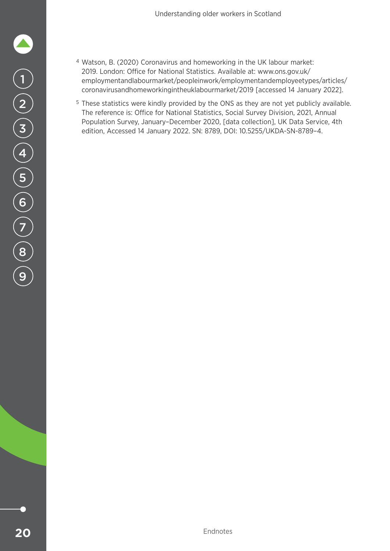- <sup>4</sup> Watson, B. (2020) Coronavirus and homeworking in the UK labour market: 2019. London: Office for National Statistics. Available at: www.ons.gov.uk/ employmentandlabourmarket/peopleinwork/employmentandemployeetypes/articles/ coronavirusandhomeworkingintheuklabourmarket/2019 [accessed 14 January 2022].
- <sup>5</sup> These statistics were kindly provided by the ONS as they are not yet publicly available. The reference is: Office for National Statistics, Social Survey Division, 2021, Annual Population Survey, January–December 2020, [data collection], UK Data Service, 4th edition, Accessed 14 January 2022. SN: 8789, DOI: 10.5255/UKDA-SN-8789–4.